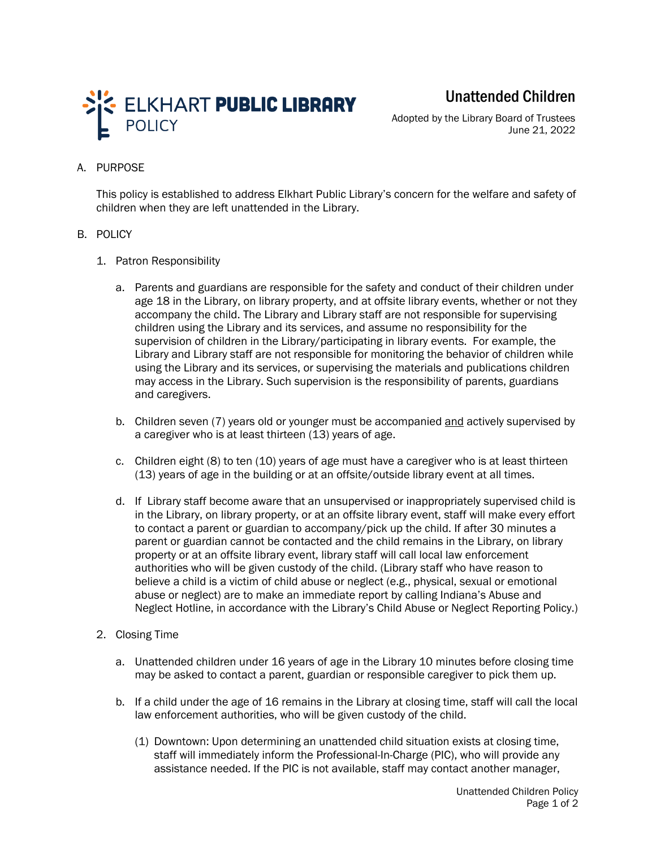

Unattended Children

Adopted by the Library Board of Trustees June 21, 2022

## A. PURPOSE

This policy is established to address Elkhart Public Library's concern for the welfare and safety of children when they are left unattended in the Library.

## B. POLICY

- 1. Patron Responsibility
	- a. Parents and guardians are responsible for the safety and conduct of their children under age 18 in the Library, on library property, and at offsite library events, whether or not they accompany the child. The Library and Library staff are not responsible for supervising children using the Library and its services, and assume no responsibility for the supervision of children in the Library/participating in library events. For example, the Library and Library staff are not responsible for monitoring the behavior of children while using the Library and its services, or supervising the materials and publications children may access in the Library. Such supervision is the responsibility of parents, guardians and caregivers.
	- b. Children seven (7) years old or younger must be accompanied and actively supervised by a caregiver who is at least thirteen (13) years of age.
	- c. Children eight (8) to ten (10) years of age must have a caregiver who is at least thirteen (13) years of age in the building or at an offsite/outside library event at all times.
	- d. If Library staff become aware that an unsupervised or inappropriately supervised child is in the Library, on library property, or at an offsite library event, staff will make every effort to contact a parent or guardian to accompany/pick up the child. If after 30 minutes a parent or guardian cannot be contacted and the child remains in the Library, on library property or at an offsite library event, library staff will call local law enforcement authorities who will be given custody of the child. (Library staff who have reason to believe a child is a victim of child abuse or neglect (e.g., physical, sexual or emotional abuse or neglect) are to make an immediate report by calling Indiana's Abuse and Neglect Hotline, in accordance with the Library's Child Abuse or Neglect Reporting Policy.)
- 2. Closing Time
	- a. Unattended children under 16 years of age in the Library 10 minutes before closing time may be asked to contact a parent, guardian or responsible caregiver to pick them up.
	- b. If a child under the age of 16 remains in the Library at closing time, staff will call the local law enforcement authorities, who will be given custody of the child.
		- (1) Downtown: Upon determining an unattended child situation exists at closing time, staff will immediately inform the Professional-In-Charge (PIC), who will provide any assistance needed. If the PIC is not available, staff may contact another manager,